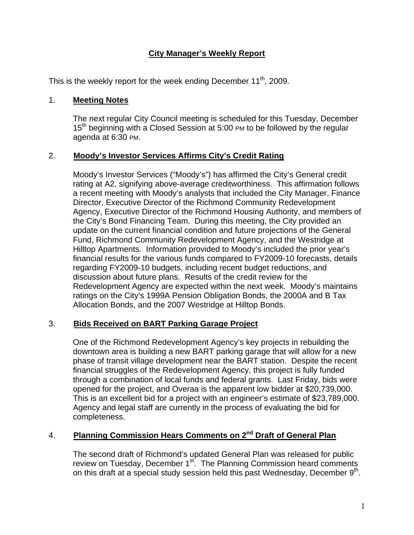# **City Manager's Weekly Report**

This is the weekly report for the week ending December  $11^{th}$ , 2009.

#### 1. **Meeting Notes**

The next regular City Council meeting is scheduled for this Tuesday, December 15<sup>th</sup> beginning with a Closed Session at 5:00 PM to be followed by the regular agenda at 6:30 PM.

### 2. **Moody's Investor Services Affirms City's Credit Rating**

Moody's Investor Services ("Moody's") has affirmed the City's General credit rating at A2, signifying above-average creditworthiness. This affirmation follows a recent meeting with Moody's analysts that included the City Manager, Finance Director, Executive Director of the Richmond Community Redevelopment Agency, Executive Director of the Richmond Housing Authority, and members of the City's Bond Financing Team. During this meeting, the City provided an update on the current financial condition and future projections of the General Fund, Richmond Community Redevelopment Agency, and the Westridge at Hilltop Apartments. Information provided to Moody's included the prior year's financial results for the various funds compared to FY2009-10 forecasts, details regarding FY2009-10 budgets, including recent budget reductions, and discussion about future plans. Results of the credit review for the Redevelopment Agency are expected within the next week. Moody's maintains ratings on the City's 1999A Pension Obligation Bonds, the 2000A and B Tax Allocation Bonds, and the 2007 Westridge at Hilltop Bonds.

#### 3. **Bids Received on BART Parking Garage Project**

One of the Richmond Redevelopment Agency's key projects in rebuilding the downtown area is building a new BART parking garage that will allow for a new phase of transit village development near the BART station. Despite the recent financial struggles of the Redevelopment Agency, this project is fully funded through a combination of local funds and federal grants. Last Friday, bids were opened for the project, and Overaa is the apparent low bidder at \$20,739,000. This is an excellent bid for a project with an engineer's estimate of \$23,789,000. Agency and legal staff are currently in the process of evaluating the bid for completeness.

# 4. **Planning Commission Hears Comments on 2nd Draft of General Plan**

The second draft of Richmond's updated General Plan was released for public review on Tuesday, December 1<sup>st</sup>. The Planning Commission heard comments on this draft at a special study session held this past Wednesday, December  $9<sup>th</sup>$ .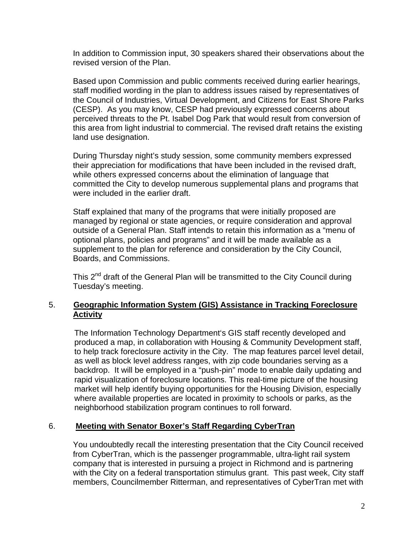In addition to Commission input, 30 speakers shared their observations about the revised version of the Plan.

Based upon Commission and public comments received during earlier hearings, staff modified wording in the plan to address issues raised by representatives of the Council of Industries, Virtual Development, and Citizens for East Shore Parks (CESP). As you may know, CESP had previously expressed concerns about perceived threats to the Pt. Isabel Dog Park that would result from conversion of this area from light industrial to commercial. The revised draft retains the existing land use designation.

During Thursday night's study session, some community members expressed their appreciation for modifications that have been included in the revised draft, while others expressed concerns about the elimination of language that committed the City to develop numerous supplemental plans and programs that were included in the earlier draft.

Staff explained that many of the programs that were initially proposed are managed by regional or state agencies, or require consideration and approval outside of a General Plan. Staff intends to retain this information as a "menu of optional plans, policies and programs" and it will be made available as a supplement to the plan for reference and consideration by the City Council, Boards, and Commissions.

This  $2^{nd}$  draft of the General Plan will be transmitted to the City Council during Tuesday's meeting.

## 5. **Geographic Information System (GIS) Assistance in Tracking Foreclosure Activity**

The Information Technology Department's GIS staff recently developed and produced a map, in collaboration with Housing & Community Development staff, to help track foreclosure activity in the City. The map features parcel level detail, as well as block level address ranges, with zip code boundaries serving as a backdrop. It will be employed in a "push-pin" mode to enable daily updating and rapid visualization of foreclosure locations. This real-time picture of the housing market will help identify buying opportunities for the Housing Division, especially where available properties are located in proximity to schools or parks, as the neighborhood stabilization program continues to roll forward.

## 6. **Meeting with Senator Boxer's Staff Regarding CyberTran**

You undoubtedly recall the interesting presentation that the City Council received from CyberTran, which is the passenger programmable, ultra-light rail system company that is interested in pursuing a project in Richmond and is partnering with the City on a federal transportation stimulus grant. This past week, City staff members, Councilmember Ritterman, and representatives of CyberTran met with